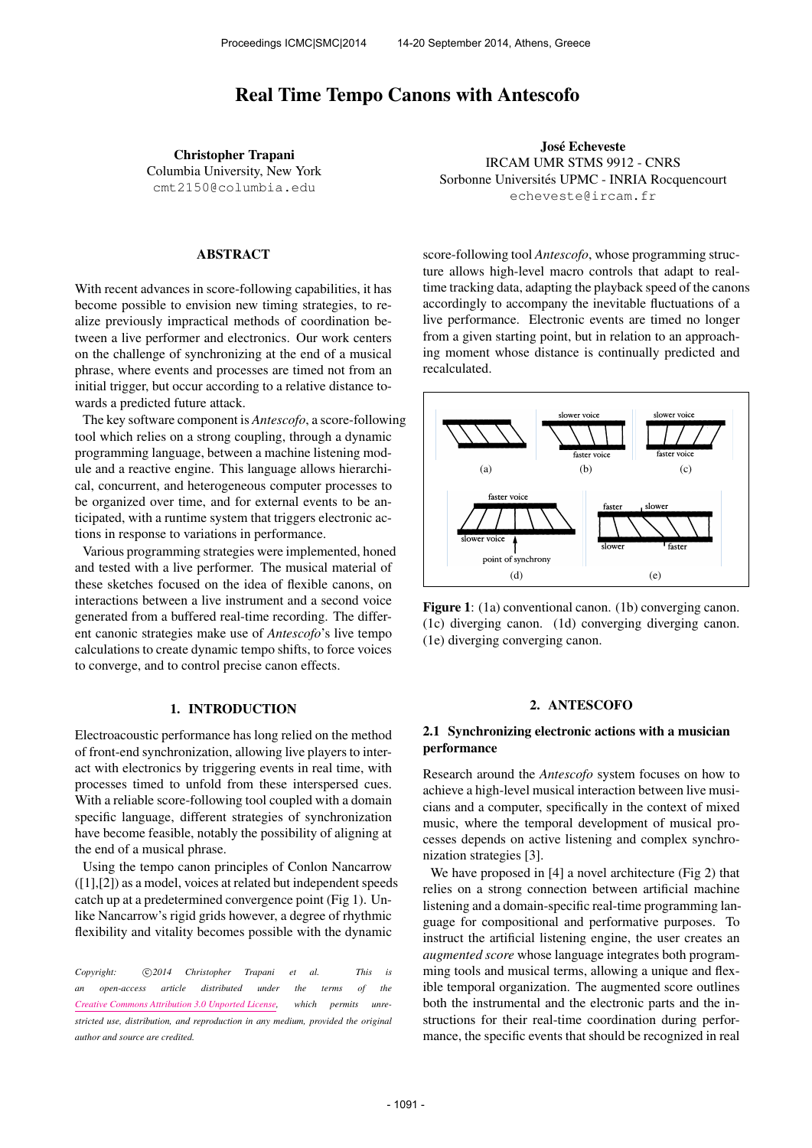# Real Time Tempo Canons with Antescofo

Christopher Trapani Columbia University, New York [cmt2150@columbia.edu](mailto:cmt2150@columbia.edu)

#### ABSTRACT

With recent advances in score-following capabilities, it has become possible to envision new timing strategies, to realize previously impractical methods of coordination between a live performer and electronics. Our work centers on the challenge of synchronizing at the end of a musical phrase, where events and processes are timed not from an initial trigger, but occur according to a relative distance towards a predicted future attack.

The key software component is *Antescofo*, a score-following tool which relies on a strong coupling, through a dynamic programming language, between a machine listening module and a reactive engine. This language allows hierarchical, concurrent, and heterogeneous computer processes to be organized over time, and for external events to be anticipated, with a runtime system that triggers electronic actions in response to variations in performance.

Various programming strategies were implemented, honed and tested with a live performer. The musical material of these sketches focused on the idea of flexible canons, on interactions between a live instrument and a second voice generated from a buffered real-time recording. The different canonic strategies make use of *Antescofo*'s live tempo calculations to create dynamic tempo shifts, to force voices to converge, and to control precise canon effects.

### 1. INTRODUCTION

Electroacoustic performance has long relied on the method of front-end synchronization, allowing live players to interact with electronics by triggering events in real time, with processes timed to unfold from these interspersed cues. With a reliable score-following tool coupled with a domain specific language, different strategies of synchronization have become feasible, notably the possibility of aligning at the end of a musical phrase.

Using the tempo canon principles of Conlon Nancarrow ([1],[2]) as a model, voices at related but independent speeds catch up at a predetermined convergence point (Fig 1). Unlike Nancarrow's rigid grids however, a degree of rhythmic flexibility and vitality becomes possible with the dynamic

Copyright:  $\bigcirc$  2014 Christopher Trapani et al. This is *an open-access article distributed under the terms of the [Creative Commons Attribution 3.0 Unported License,](http://creativecommons.org/licenses/by/3.0/) which permits unrestricted use, distribution, and reproduction in any medium, provided the original author and source are credited.*

José Echeveste IRCAM UMR STMS 9912 - CNRS Sorbonne Universités UPMC - INRIA Rocquencourt [echeveste@ircam.fr](mailto:echeveste@ircam.fr)

score-following tool *Antescofo*, whose programming structure allows high-level macro controls that adapt to realtime tracking data, adapting the playback speed of the canons accordingly to accompany the inevitable fluctuations of a live performance. Electronic events are timed no longer from a given starting point, but in relation to an approaching moment whose distance is continually predicted and **monentally** recalculated.



(1c) diverging canon. (1d) converging diverging canon. **Figure 1**: (1a) conventional canon. (1b) converging canon. **slower voice <sup>t</sup>** (1e) diverging converging canon.

# **e. diverging-converging canon**  2. ANTESCOFO

# 2.1 Synchronizing electronic actions with a musician performance

Research around the *Antescofo* system focuses on how to cians and a computer, specifically in the context of mixed cesses depends on active listening and complex synchroachieve a high-level musical interaction between live musimusic, where the temporal development of musical pronization strategies [3].

We have proposed in [4] a novel architecture (Fig 2) that relies on a strong connection between artificial machine listening and a domain-specific real-time programming language for compositional and performative purposes. To instruct the artificial listening engine, the user creates an *augmented score* whose language integrates both programming tools and musical terms, allowing a unique and flexible temporal organization. The augmented score outlines both the instrumental and the electronic parts and the instructions for their real-time coordination during performance, the specific events that should be recognized in real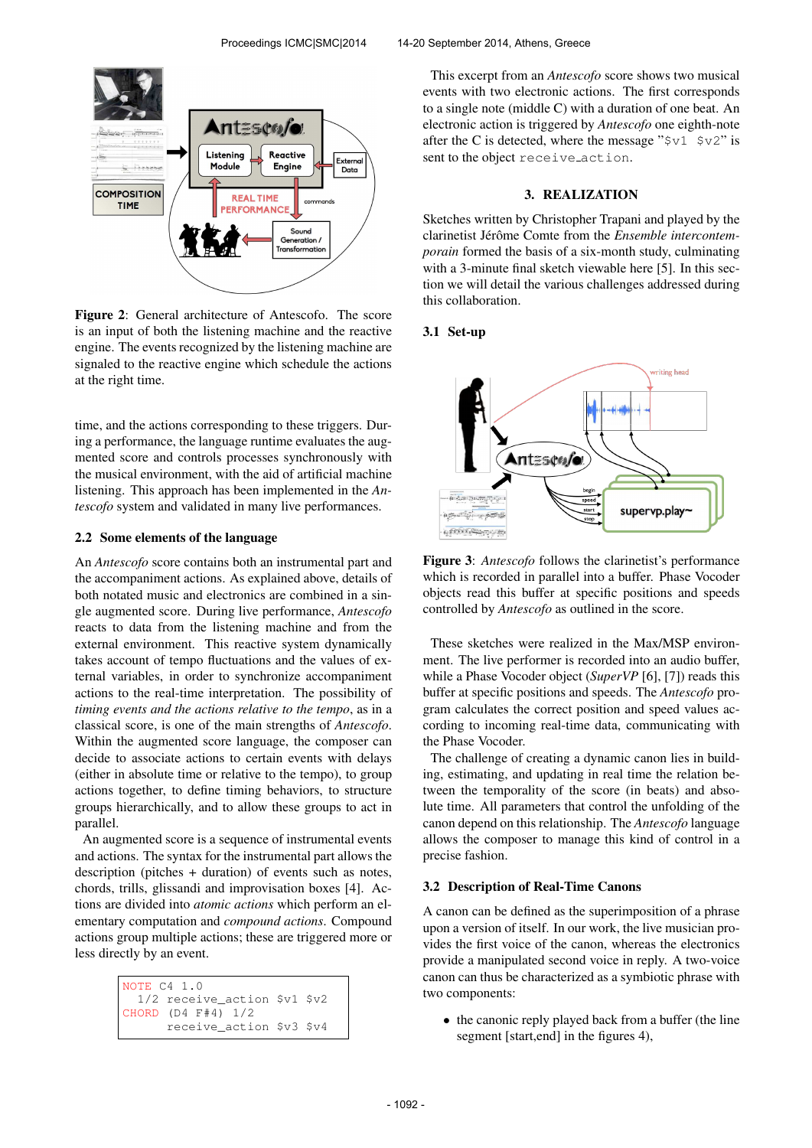

Figure 2: General architecture of Antescofo. The score is an input of both the listening machine and the reactive engine. The events recognized by the listening machine are signaled to the reactive engine which schedule the actions at the right time.

time, and the actions corresponding to these triggers. During a performance, the language runtime evaluates the augmented score and controls processes synchronously with the musical environment, with the aid of artificial machine listening. This approach has been implemented in the *Antescofo* system and validated in many live performances.

#### 2.2 Some elements of the language

An *Antescofo* score contains both an instrumental part and the accompaniment actions. As explained above, details of both notated music and electronics are combined in a single augmented score. During live performance, *Antescofo* reacts to data from the listening machine and from the external environment. This reactive system dynamically takes account of tempo fluctuations and the values of external variables, in order to synchronize accompaniment actions to the real-time interpretation. The possibility of *timing events and the actions relative to the tempo*, as in a classical score, is one of the main strengths of *Antescofo*. Within the augmented score language, the composer can decide to associate actions to certain events with delays (either in absolute time or relative to the tempo), to group actions together, to define timing behaviors, to structure groups hierarchically, and to allow these groups to act in parallel.

An augmented score is a sequence of instrumental events and actions. The syntax for the instrumental part allows the description (pitches + duration) of events such as notes, chords, trills, glissandi and improvisation boxes [4]. Actions are divided into *atomic actions* which perform an elementary computation and *compound actions*. Compound actions group multiple actions; these are triggered more or less directly by an event.

| NOTE C4 1.0 |                                |  |
|-------------|--------------------------------|--|
|             | $1/2$ receive action \$v1 \$v2 |  |
|             | CHORD $(D4$ $F#4)$ $1/2$       |  |
|             | receive action \$v3 \$v4       |  |

This excerpt from an *Antescofo* score shows two musical events with two electronic actions. The first corresponds to a single note (middle C) with a duration of one beat. An electronic action is triggered by *Antescofo* one eighth-note after the C is detected, where the message " $\zeta v1 \zeta v2$ " is sent to the object receive action.

#### 3. REALIZATION

Sketches written by Christopher Trapani and played by the clarinetist Jérôme Comte from the *Ensemble intercontemporain* formed the basis of a six-month study, culminating with a 3-minute final sketch viewable here [5]. In this section we will detail the various challenges addressed during this collaboration.

#### 3.1 Set-up



Figure 3: *Antescofo* follows the clarinetist's performance which is recorded in parallel into a buffer. Phase Vocoder objects read this buffer at specific positions and speeds controlled by *Antescofo* as outlined in the score.

These sketches were realized in the Max/MSP environment. The live performer is recorded into an audio buffer, while a Phase Vocoder object (*SuperVP* [6], [7]) reads this buffer at specific positions and speeds. The *Antescofo* program calculates the correct position and speed values according to incoming real-time data, communicating with the Phase Vocoder.

The challenge of creating a dynamic canon lies in building, estimating, and updating in real time the relation between the temporality of the score (in beats) and absolute time. All parameters that control the unfolding of the canon depend on this relationship. The *Antescofo* language allows the composer to manage this kind of control in a precise fashion.

#### 3.2 Description of Real-Time Canons

A canon can be defined as the superimposition of a phrase upon a version of itself. In our work, the live musician provides the first voice of the canon, whereas the electronics provide a manipulated second voice in reply. A two-voice canon can thus be characterized as a symbiotic phrase with two components:

• the canonic reply played back from a buffer (the line segment [start,end] in the figures 4),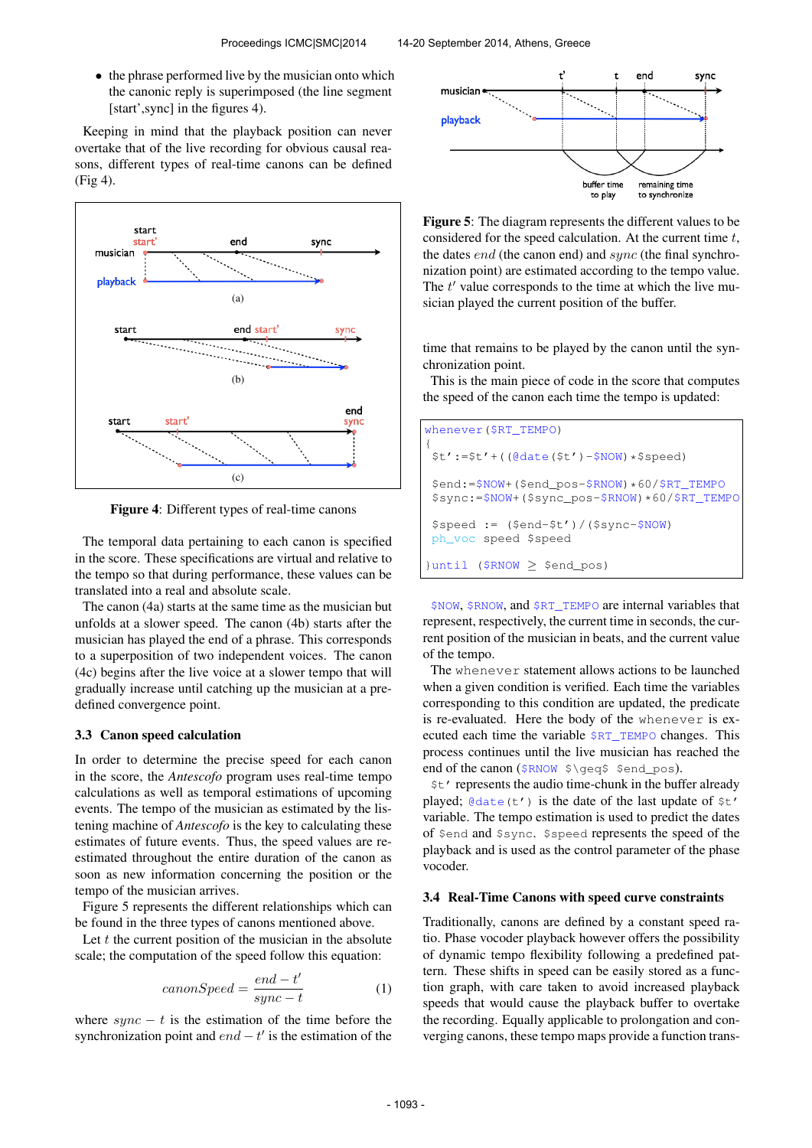• the phrase performed live by the musician onto which the canonic reply is superimposed (the line segment [start',sync] in the figures 4).

Keeping in mind that the playback position can never overtake that of the live recording for obvious causal reasons, different types of real-time canons can be defined (Fig 4).



Figure 4: Different types of real-time canons

The temporal data pertaining to each canon is specified in the score. These specifications are virtual and relative to the tempo so that during performance, these values can be translated into a real and absolute scale.

The canon (4a) starts at the same time as the musician but unfolds at a slower speed. The canon (4b) starts after the musician has played the end of a phrase. This corresponds to a superposition of two independent voices. The canon (4c) begins after the live voice at a slower tempo that will gradually increase until catching up the musician at a predefined convergence point.

#### 3.3 Canon speed calculation

In order to determine the precise speed for each canon in the score, the *Antescofo* program uses real-time tempo calculations as well as temporal estimations of upcoming events. The tempo of the musician as estimated by the listening machine of *Antescofo* is the key to calculating these estimates of future events. Thus, the speed values are reestimated throughout the entire duration of the canon as soon as new information concerning the position or the tempo of the musician arrives.

Figure 5 represents the different relationships which can be found in the three types of canons mentioned above.

Let  $t$  the current position of the musician in the absolute scale; the computation of the speed follow this equation:

$$
can on Speed = \frac{end - t'}{sync - t}
$$
 (1)

where  $sync - t$  is the estimation of the time before the synchronization point and  $end - t'$  is the estimation of the



Figure 5: The diagram represents the different values to be considered for the speed calculation. At the current time  $t$ , the dates *end* (the canon end) and *sync* (the final synchronization point) are estimated according to the tempo value. The  $t'$  value corresponds to the time at which the live musician played the current position of the buffer.

time that remains to be played by the canon until the synchronization point.

This is the main piece of code in the score that computes the speed of the canon each time the tempo is updated:

| whenever $(\$RT_TEMPO)$                                                                                |
|--------------------------------------------------------------------------------------------------------|
| $$t':= $t' + ( (@date(St') - $NOW) * $speed)$                                                          |
| \$end: = \$NOW+ (\$end_pos-\$RNOW) * 60/\$RT_TEMPO<br>$$sync:=$NOW+ ($sync\_pos-$RNOW)*60$ /\$RT_TEMPO |
| $$speed := ($end-$t') / ($symc-$NOW)$<br>ph voc speed \$speed                                          |
| $\{uniti \ (5 \ RNOW > $end pos)$                                                                      |

\$NOW, \$RNOW, and \$RT\_TEMPO are internal variables that represent, respectively, the current time in seconds, the current position of the musician in beats, and the current value of the tempo.

The whenever statement allows actions to be launched when a given condition is verified. Each time the variables corresponding to this condition are updated, the predicate is re-evaluated. Here the body of the whenever is executed each time the variable \$RT\_TEMPO changes. This process continues until the live musician has reached the end of the canon (\$RNOW \$\geq\$ \$end\_pos).

\$t' represents the audio time-chunk in the buffer already played;  $\theta$  date(t') is the date of the last update of  $\zeta$ t' variable. The tempo estimation is used to predict the dates of \$end and \$sync. \$speed represents the speed of the playback and is used as the control parameter of the phase vocoder.

#### 3.4 Real-Time Canons with speed curve constraints

Traditionally, canons are defined by a constant speed ratio. Phase vocoder playback however offers the possibility of dynamic tempo flexibility following a predefined pattern. These shifts in speed can be easily stored as a function graph, with care taken to avoid increased playback speeds that would cause the playback buffer to overtake the recording. Equally applicable to prolongation and converging canons, these tempo maps provide a function trans-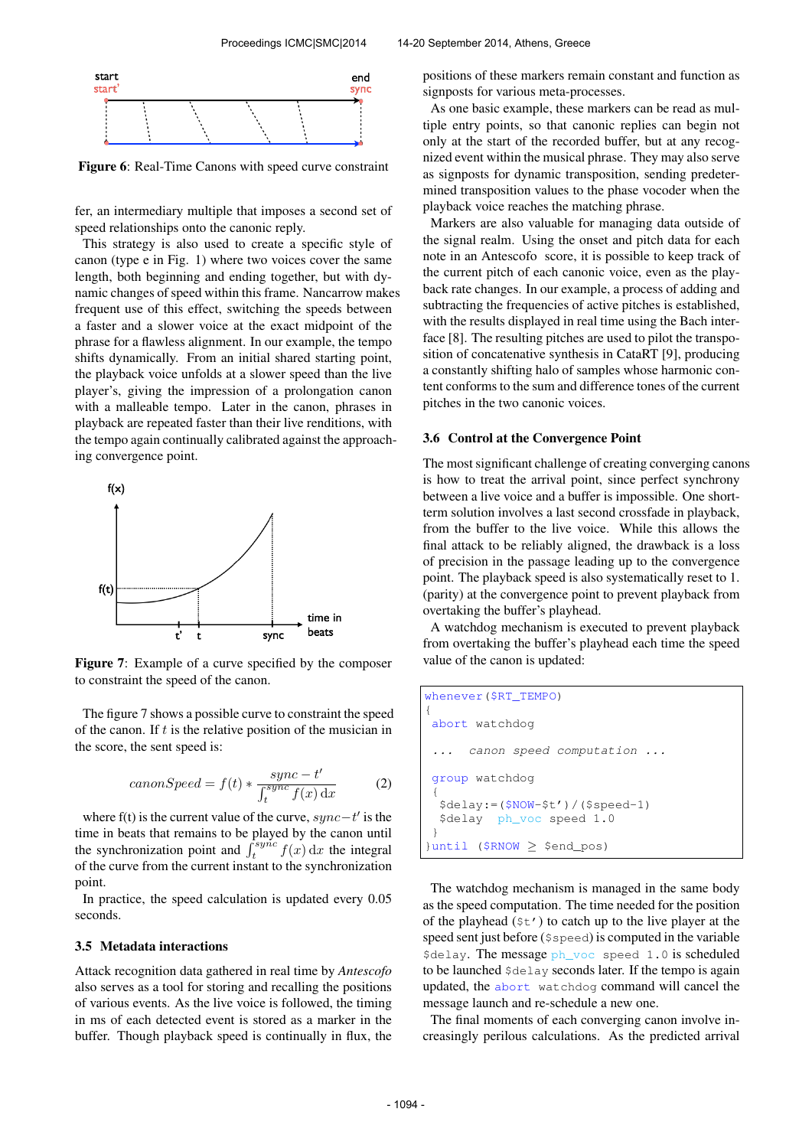

Figure 6: Real-Time Canons with speed curve constraint

fer, an intermediary multiple that imposes a second set of speed relationships onto the canonic reply.

This strategy is also used to create a specific style of canon (type e in Fig. 1) where two voices cover the same length, both beginning and ending together, but with dynamic changes of speed within this frame. Nancarrow makes frequent use of this effect, switching the speeds between a faster and a slower voice at the exact midpoint of the phrase for a flawless alignment. In our example, the tempo shifts dynamically. From an initial shared starting point, the playback voice unfolds at a slower speed than the live player's, giving the impression of a prolongation canon with a malleable tempo. Later in the canon, phrases in playback are repeated faster than their live renditions, with the tempo again continually calibrated against the approaching convergence point.



Figure 7: Example of a curve specified by the composer to constraint the speed of the canon.

The figure 7 shows a possible curve to constraint the speed of the canon. If  $t$  is the relative position of the musician in the score, the sent speed is:

$$
can on Speed = f(t) * \frac{sync - t'}{\int_{t}^{sync} f(x) dx}
$$
 (2)

where f(t) is the current value of the curve,  $sync-t'$  is the time in beats that remains to be played by the canon until the synchronization point and  $\int_t^{sy\hat{n}c} f(x) dx$  the integral of the curve from the current instant to the synchronization point.

In practice, the speed calculation is updated every 0.05 seconds.

### 3.5 Metadata interactions

Attack recognition data gathered in real time by *Antescofo* also serves as a tool for storing and recalling the positions of various events. As the live voice is followed, the timing in ms of each detected event is stored as a marker in the buffer. Though playback speed is continually in flux, the positions of these markers remain constant and function as signposts for various meta-processes.

As one basic example, these markers can be read as multiple entry points, so that canonic replies can begin not only at the start of the recorded buffer, but at any recognized event within the musical phrase. They may also serve as signposts for dynamic transposition, sending predetermined transposition values to the phase vocoder when the playback voice reaches the matching phrase.

Markers are also valuable for managing data outside of the signal realm. Using the onset and pitch data for each note in an Antescofo score, it is possible to keep track of the current pitch of each canonic voice, even as the playback rate changes. In our example, a process of adding and subtracting the frequencies of active pitches is established, with the results displayed in real time using the Bach interface [8]. The resulting pitches are used to pilot the transposition of concatenative synthesis in CataRT [9], producing a constantly shifting halo of samples whose harmonic content conforms to the sum and difference tones of the current pitches in the two canonic voices.

#### 3.6 Control at the Convergence Point

The most significant challenge of creating converging canons is how to treat the arrival point, since perfect synchrony between a live voice and a buffer is impossible. One shortterm solution involves a last second crossfade in playback, from the buffer to the live voice. While this allows the final attack to be reliably aligned, the drawback is a loss of precision in the passage leading up to the convergence point. The playback speed is also systematically reset to 1. (parity) at the convergence point to prevent playback from overtaking the buffer's playhead.

A watchdog mechanism is executed to prevent playback from overtaking the buffer's playhead each time the speed value of the canon is updated:

```
whenever($RT_TEMPO)
{
 abort watchdog
      ... canon speed computation ...
 group watchdog
 {
  $delay:=($NOW-$t')/($speed-1)
  $delay ph_voc speed 1.0
 }
}until ($RNOW ≥ $end_pos)
```
The watchdog mechanism is managed in the same body as the speed computation. The time needed for the position of the playhead  $(\xi t')$  to catch up to the live player at the speed sent just before (\$speed) is computed in the variable \$delay. The message ph\_voc speed 1.0 is scheduled to be launched \$delay seconds later. If the tempo is again updated, the abort watchdog command will cancel the message launch and re-schedule a new one.

The final moments of each converging canon involve increasingly perilous calculations. As the predicted arrival